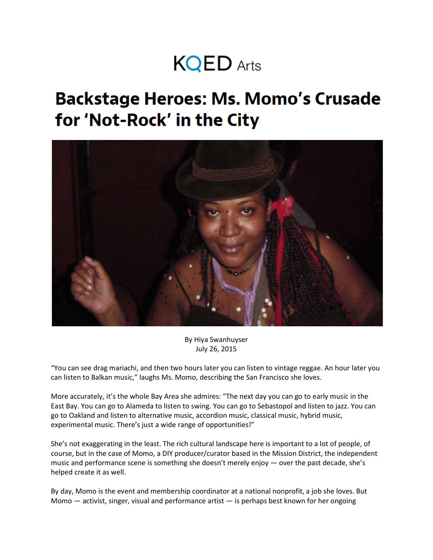## **KQED** Arts

## **Backstage Heroes: Ms. Momo's Crusade** for 'Not-Rock' in the City



By [Hiya Swanhuyser](http://ww2.kqed.org/arts/author/hswanhuyser/) July 26, 2015

"You can see drag mariachi, and then two hours later you can listen to vintage reggae. An hour later you can listen to Balkan music," laughs Ms. Momo, describing the San Francisco she loves.

More accurately, it's the whole Bay Area she admires: "The next day you can go to early music in the East Bay. You can go to Alameda to listen to swing. You can go to Sebastopol and listen to jazz. You can go to Oakland and listen to alternative music, accordion music, classical music, hybrid music, experimental music. There's just a wide range of opportunities!"

She's not exaggerating in the least. The rich cultural landscape here is important to a lot of people, of course, but in the case of Momo, a DIY producer/curator based in the Mission District, the independent music and performance scene is something she doesn't merely enjoy — over the past decade, she's helped create it as well.

By day, Momo is the event and membership coordinator at a national nonprofit, a job she loves. But Momo — activist, singer, visual and performance artist — is perhaps best known for her ongoing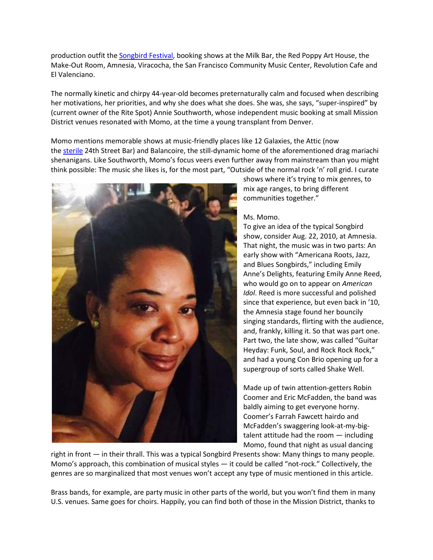production outfit the [Songbird Festival,](http://www.songbirdfestival.org/) booking shows at the Milk Bar, the Red Poppy Art House, the Make-Out Room, Amnesia, Viracocha, the San Francisco Community Music Center, Revolution Cafe and El Valenciano.

The normally kinetic and chirpy 44-year-old becomes preternaturally calm and focused when describing her motivations, her priorities, and why she does what she does. She was, she says, "super-inspired" by (current owner of the Rite Spot) Annie Southworth, whose independent music booking at small Mission District venues resonated with Momo, at the time a young transplant from Denver.

Momo mentions memorable shows at music-friendly places like 12 Galaxies, the Attic (now the [sterile](http://uptownalmanac.com/2015/06/24th-street-bar-now-open-and-it-looks-nothing-attic) 24th Street Bar) and Balancoire, the still-dynamic home of the aforementioned drag mariachi shenanigans. Like Southworth, Momo's focus veers even further away from mainstream than you might think possible: The music she likes is, for the most part, "Outside of the normal rock 'n' roll grid. I curate



shows where it's trying to mix genres, to mix age ranges, to bring different communities together."

## Ms. Momo.

To give an idea of the typical Songbird show, consider Aug. 22, 2010, at Amnesia. That night, the music was in two parts: An early show with "Americana Roots, Jazz, and Blues Songbirds," including Emily Anne's Delights, featuring Emily Anne Reed, who would go on to appear on *American Idol*. Reed is more successful and polished since that experience, but even back in '10, the Amnesia stage found her bouncily singing standards, flirting with the audience, and, frankly, killing it. So that was part one. Part two, the late show, was called "Guitar Heyday: Funk, Soul, and Rock Rock Rock," and had a young Con Brio opening up for a supergroup of sorts called Shake Well.

Made up of twin attention-getters Robin Coomer and Eric McFadden, the band was baldly aiming to get everyone horny. Coomer's Farrah Fawcett hairdo and McFadden's swaggering look-at-my-bigtalent attitude had the room — including Momo, found that night as usual dancing

right in front — in their thrall. This was a typical Songbird Presents show: Many things to many people. Momo's approach, this combination of musical styles — it could be called "not-rock." Collectively, the genres are so marginalized that most venues won't accept any type of music mentioned in this article.

Brass bands, for example, are party music in other parts of the world, but you won't find them in many U.S. venues. Same goes for choirs. Happily, you can find both of those in the Mission District, thanks to